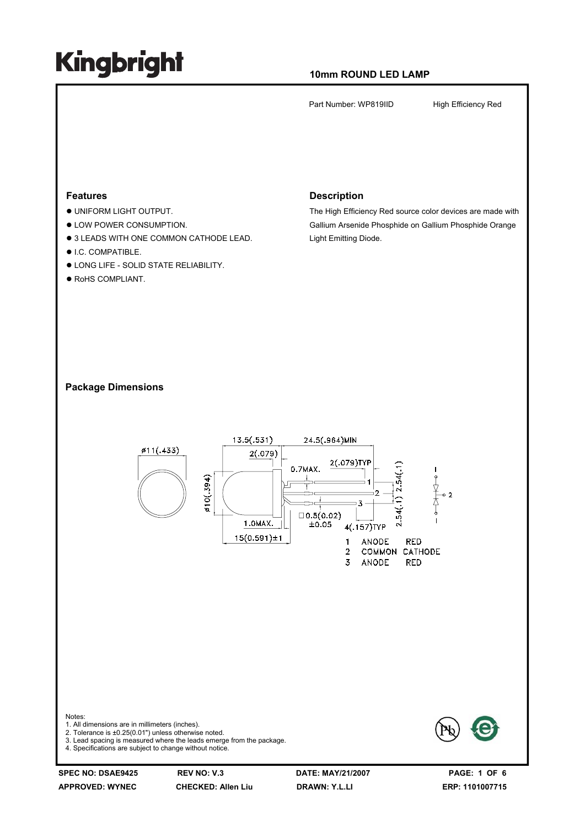#### **10mm ROUND LED LAMP**

Part Number: WP819IID High Efficiency Red

#### **Features**

- $\bullet$  UNIFORM LIGHT OUTPUT.
- $\bullet$  LOW POWER CONSUMPTION.
- $\bullet$  3 LEADS WITH ONE COMMON CATHODE LEAD.
- $\bullet$  I.C. COMPATIBLE.
- $\bullet$  LONG LIFE SOLID STATE RELIABILITY.
- $\bullet$  RoHS COMPLIANT.

#### **Description**

The High Efficiency Red source color devices are made with Gallium Arsenide Phosphide on Gallium Phosphide Orange Light Emitting Diode.

#### **Package Dimensions**



**APPROVED: WYNEC CHECKED: Allen Liu DRAWN: Y.L.LI ERP: 1101007715**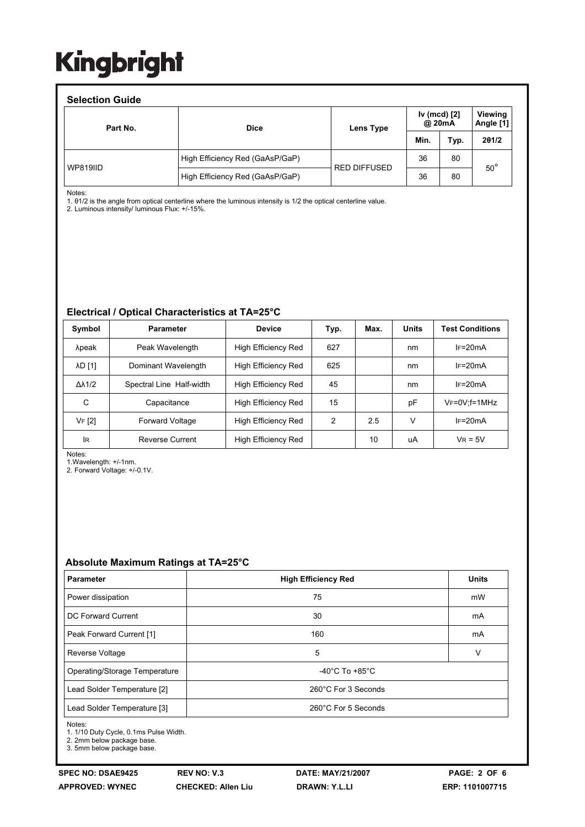#### **Selection Guide** Part No. **A CONFIDENT CONSUMINGLY** Dice **Lens Type Iv (mcd) [2] @ 20mA Viewing Angle [1] Min. Typ. 2θ1/2** WP819IID High Efficiency Red (GaAsP/GaP) RED DIFFUSED  $36$  80 High Efficiency Red (GaAsP/GaP) 26 80 50°

Notes:

1. θ1/2 is the angle from optical centerline where the luminous intensity is 1/2 the optical centerline value.

2. Luminous intensity/ luminous Flux: +/-15%.

#### **Electrical / Optical Characteristics at TA=25°C**

| Symbol              | <b>Parameter</b>         | <b>Device</b>              | Typ. | Max. | <b>Units</b> | <b>Test Conditions</b> |
|---------------------|--------------------------|----------------------------|------|------|--------------|------------------------|
| λpeak               | Peak Wavelength          | High Efficiency Red        | 627  |      | nm           | $IF=20mA$              |
| <b>AD [1]</b>       | Dominant Wavelength      | High Efficiency Red        | 625  |      | nm           | $IF=20mA$              |
| $\Delta\lambda$ 1/2 | Spectral Line Half-width | High Efficiency Red        | 45   |      | nm           | $IF=20mA$              |
| С                   | Capacitance              | High Efficiency Red        | 15   |      | pF           | $V_F = 0V$ : f = 1 MHz |
| VF [2]              | <b>Forward Voltage</b>   | High Efficiency Red        | 2    | 2.5  | v            | $IF=20mA$              |
| lR                  | <b>Reverse Current</b>   | <b>High Efficiency Red</b> |      | 10   | uA           | $V_R = 5V$             |

Notes:

1.Wavelength: +/-1nm.

2. Forward Voltage: +/-0.1V.

#### **Absolute Maximum Ratings at TA=25°C**

| <b>Parameter</b>              | <b>High Efficiency Red</b>           | <b>Units</b> |  |  |
|-------------------------------|--------------------------------------|--------------|--|--|
| Power dissipation             | 75                                   | mW           |  |  |
| DC Forward Current            | 30                                   | mA           |  |  |
| Peak Forward Current [1]      | 160                                  | mA           |  |  |
| <b>Reverse Voltage</b>        | 5                                    | V            |  |  |
| Operating/Storage Temperature | -40 $^{\circ}$ C To +85 $^{\circ}$ C |              |  |  |
| Lead Solder Temperature [2]   | 260°C For 3 Seconds                  |              |  |  |
| Lead Solder Temperature [3]   | 260°C For 5 Seconds                  |              |  |  |

Notes:

1. 1/10 Duty Cycle, 0.1ms Pulse Width.

2. 2mm below package base.

3. 5mm below package base.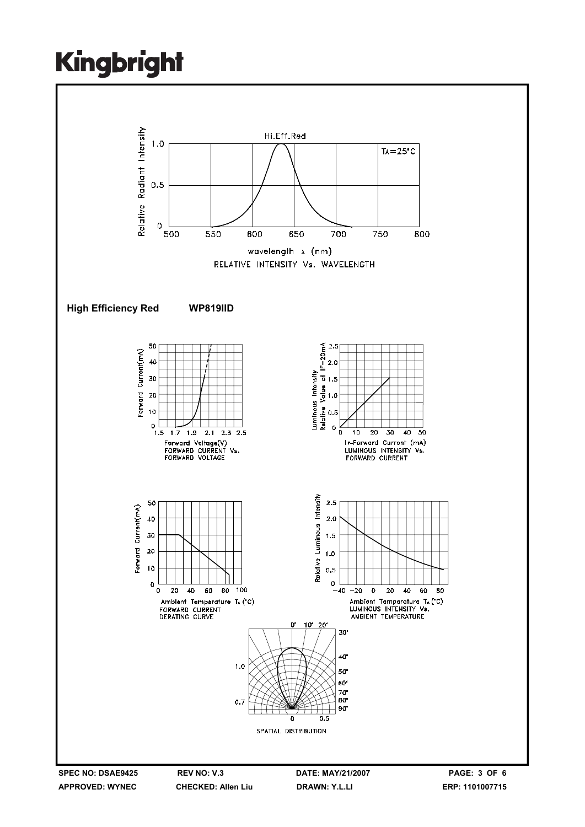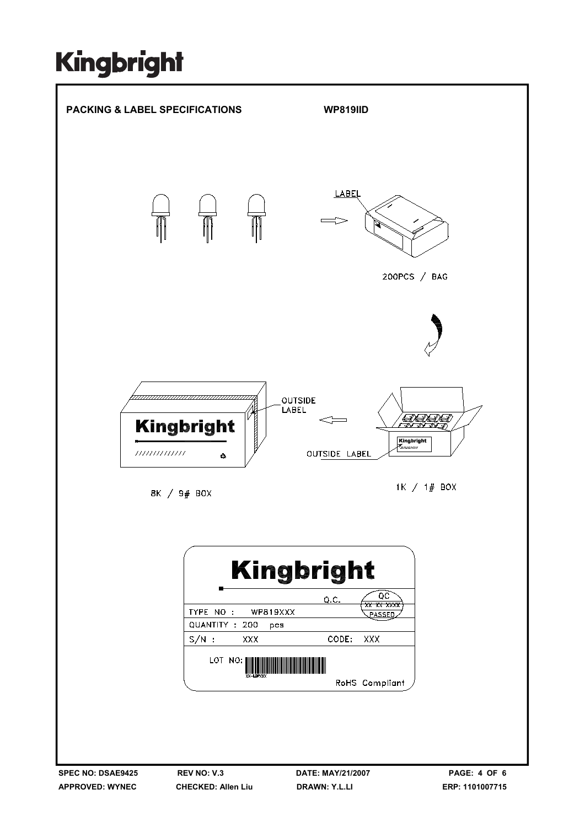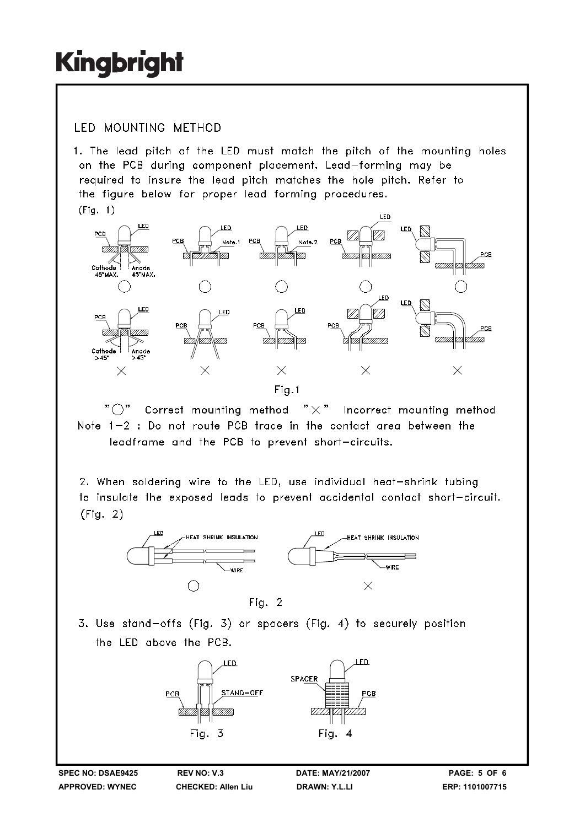### **IFD MOUNTING METHOD**

1. The lead pitch of the LED must match the pitch of the mounting holes on the PCB during component placement. Lead-forming may be required to insure the lead pitch matches the hole pitch. Refer to the figure below for proper lead forming procedures.  $(Fiq. 1)$ 



" ( )" Correct mounting method  $" \times"$  Incorrect mounting method Note 1-2 : Do not route PCB trace in the contact area between the leadframe and the PCB to prevent short-circuits.

2. When soldering wire to the LED, use individual heat-shrink tubing to insulate the exposed leads to prevent accidental contact short-circuit.  $(Fiq. 2)$ 



3. Use stand-offs (Fig. 3) or spacers (Fig. 4) to securely position the LED above the PCB.



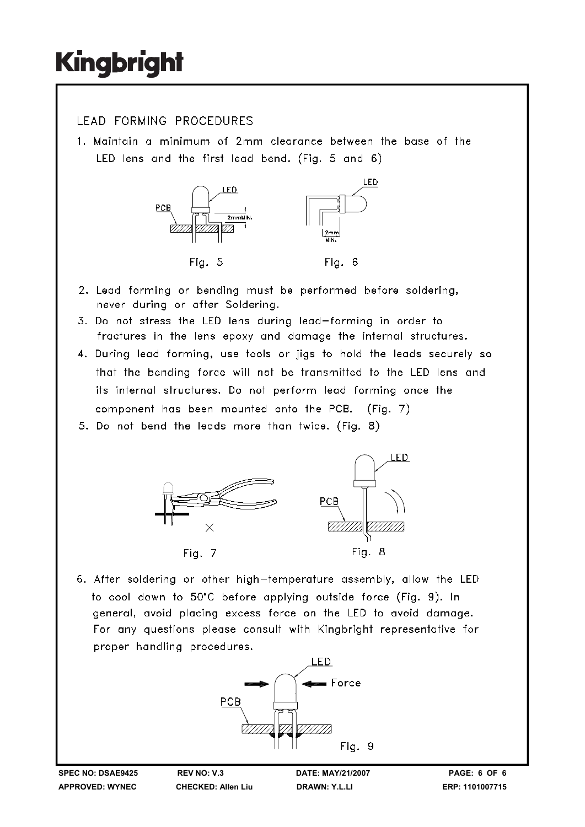### LEAD FORMING PROCEDURES

1. Maintain a minimum of 2mm clearance between the base of the LED lens and the first lead bend. (Fig. 5 and 6)



- 2. Lead forming or bending must be performed before soldering, never during or after Soldering.
- 3. Do not stress the LED lens during lead-forming in order to fractures in the lens epoxy and damage the internal structures.
- 4. During lead forming, use tools or jigs to hold the leads securely so that the bending force will not be transmitted to the LED lens and its internal structures. Do not perform lead forming once the component has been mounted onto the PCB. (Fig. 7)
- 5. Do not bend the leads more than twice. (Fig. 8)



6. After soldering or other high-temperature assembly, allow the LED to cool down to 50°C before applying outside force (Fig. 9). In general, avoid placing excess force on the LED to avoid damage. For any questions please consult with Kingbright representative for proper handling procedures.